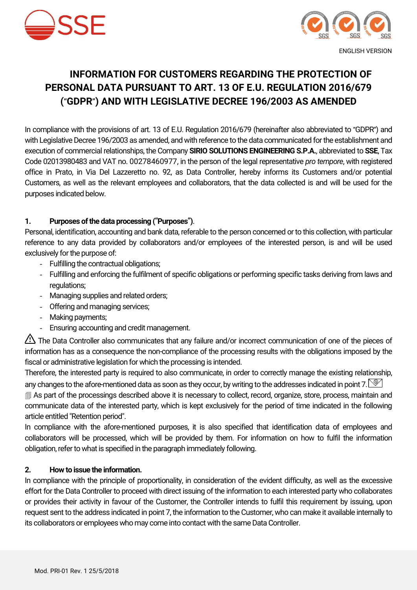



# **INFORMATION FOR CUSTOMERS REGARDING THE PROTECTION OF PERSONAL DATA PURSUANT TO ART. 13 OF E.U. REGULATION 2016/679 (**"**GDPR**"**) AND WITH LEGISLATIVE DECREE 196/2003 AS AMENDED**

In compliance with the provisions of art. 13 of E.U. Regulation 2016/679 (hereinafter also abbreviated to "GDPR") and with Legislative Decree 196/2003 as amended, and with reference to the data communicated for the establishment and execution of commercial relationships, the Company **SIRIO SOLUTIONS ENGINEERING S.P.A.**, abbreviated to **SSE**, Tax Code 02013980483 and VAT no. 00278460977, in the person of the legal representative *pro tempore*, with registered office in Prato, in Via Del Lazzeretto no. 92, as Data Controller, hereby informs its Customers and/or potential Customers, as well as the relevant employees and collaborators, that the data collected is and will be used for the purposes indicated below.

#### **1. Purposes of the data processing (**"**Purposes**"**)**.

Personal, identification, accounting and bank data, referable to the person concerned or to this collection, with particular reference to any data provided by collaborators and/or employees of the interested person, is and will be used exclusively for the purpose of:

- Fulfilling the contractual obligations;
- Fulfilling and enforcing the fulfilment of specific obligations or performing specific tasks deriving from laws and regulations;
- Managing supplies and related orders;
- Offering and managing services;
- Making payments;
- Ensuring accounting and credit management.

The Data Controller also communicates that any failure and/or incorrect communication of one of the pieces of information has as a consequence the non-compliance of the processing results with the obligations imposed by the fiscal or administrative legislation for which the processing is intended.

Therefore, the interested party is required to also communicate, in order to correctly manage the existing relationship, any changes to the afore-mentioned data as soon as they occur, by writing to the addresses indicated in point 7.  $\circledcirc$ 

 As part of the processings described above it is necessary to collect, record, organize, store, process, maintain and communicate data of the interested party, which is kept exclusively for the period of time indicated in the following article entitled "Retention period".

In compliance with the afore-mentioned purposes, it is also specified that identification data of employees and collaborators will be processed, which will be provided by them. For information on how to fulfil the information obligation, refer to what is specified in the paragraph immediately following.

#### **2. How to issue the information.**

In compliance with the principle of proportionality, in consideration of the evident difficulty, as well as the excessive effort for the Data Controller to proceed with direct issuing of the information to each interested party who collaborates or provides their activity in favour of the Customer, the Controller intends to fulfil this requirement by issuing, upon request sent to the address indicated in point 7, the information to the Customer, who can make it available internally to its collaborators or employees who may come into contact with the same Data Controller.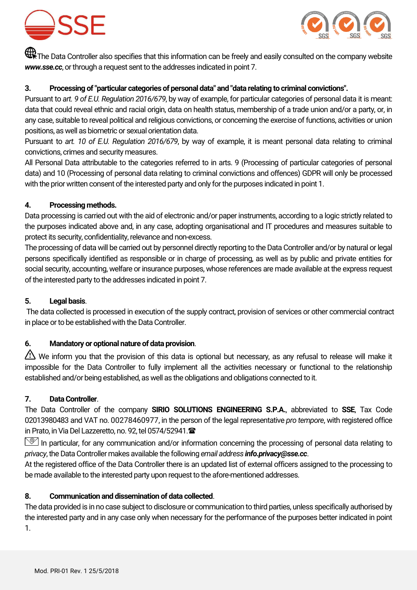



The Data Controller also specifies that this information can be freely and easily consulted on the company website *www.sse.cc*, or through a request sent to the addresses indicated in point 7.

#### **3. Processing of "particular categories of personal data" and "data relating to criminal convictions".**

Pursuant to *art. 9 of E.U. Regulation 2016/679*, by way of example, for particular categories of personal data it is meant: data that could reveal ethnic and racial origin, data on health status, membership of a trade union and/or a party, or, in any case, suitable to reveal political and religious convictions, or concerning the exercise of functions, activities or union positions, as well as biometric or sexual orientation data.

Pursuant to *art. 10 of E.U. Regulation 2016/679*, by way of example, it is meant personal data relating to criminal convictions, crimes and security measures.

All Personal Data attributable to the categories referred to in arts. 9 (Processing of particular categories of personal data) and 10 (Processing of personal data relating to criminal convictions and offences) GDPR will only be processed with the prior written consent of the interested party and only for the purposes indicated in point 1.

#### **4. Processing methods.**

Data processing is carried out with the aid of electronic and/or paper instruments, according to a logic strictly related to the purposes indicated above and, in any case, adopting organisational and IT procedures and measures suitable to protect its security, confidentiality, relevance and non-excess.

The processing of data will be carried out by personnel directly reporting to the Data Controller and/or by natural or legal persons specifically identified as responsible or in charge of processing, as well as by public and private entities for social security, accounting, welfare or insurance purposes, whose references are made available at the express request of the interested party to the addresses indicated in point 7.

# **5. Legal basis**.

The data collected is processed in execution of the supply contract, provision of services or other commercial contract in place or to be established with the Data Controller.

# **6. Mandatory or optional nature of data provision**.

We inform you that the provision of this data is optional but necessary, as any refusal to release will make it impossible for the Data Controller to fully implement all the activities necessary or functional to the relationship established and/or being established, as well as the obligations and obligations connected to it.

#### **7. Data Controller**.

The Data Controller of the company **SIRIO SOLUTIONS ENGINEERING S.P.A.**, abbreviated to **SSE**, Tax Code 02013980483 and VAT no. 00278460977, in the person of the legal representative *pro tempore*, with registered office in Prato, in Via Del Lazzeretto, no. 92, tel 0574/52941.

 $\mathbb{S}$  In particular, for any communication and/or information concerning the processing of personal data relating to *privacy*, the Data Controller makes available the following *email address info.privacy@sse.cc*.

At the registered office of the Data Controller there is an updated list of external officers assigned to the processing to be made available to the interested party upon request to the afore-mentioned addresses.

# **8. Communication and dissemination of data collected**.

The data provided is in no case subject to disclosure or communication to third parties, unless specifically authorised by the interested party and in any case only when necessary for the performance of the purposes better indicated in point 1.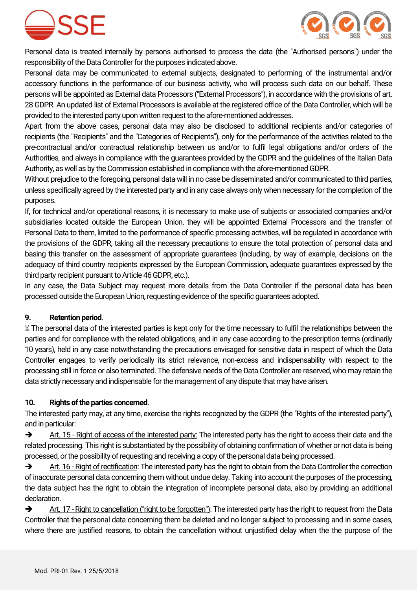



Personal data is treated internally by persons authorised to process the data (the "Authorised persons") under the responsibility of the Data Controller for the purposes indicated above.

Personal data may be communicated to external subjects, designated to performing of the instrumental and/or accessory functions in the performance of our business activity, who will process such data on our behalf. These persons will be appointed as External data Processors ("External Processors"), in accordance with the provisions of art. 28 GDPR. An updated list of External Processors is available at the registered office of the Data Controller, which will be provided to the interested party upon written request to the afore-mentioned addresses.

Apart from the above cases, personal data may also be disclosed to additional recipients and/or categories of recipients (the "Recipients" and the "Categories of Recipients"), only for the performance of the activities related to the pre-contractual and/or contractual relationship between us and/or to fulfil legal obligations and/or orders of the Authorities, and always in compliance with the guarantees provided by the GDPR and the guidelines of the Italian Data Authority, as well as by the Commission established in compliance with the afore-mentioned GDPR.

Without prejudice to the foregoing, personal data will in no case be disseminated and/or communicated to third parties, unless specifically agreed by the interested party and in any case always only when necessary for the completion of the purposes.

If, for technical and/or operational reasons, it is necessary to make use of subjects or associated companies and/or subsidiaries located outside the European Union, they will be appointed External Processors and the transfer of Personal Data to them, limited to the performance of specific processing activities, will be regulated in accordance with the provisions of the GDPR, taking all the necessary precautions to ensure the total protection of personal data and basing this transfer on the assessment of appropriate guarantees (including, by way of example, decisions on the adequacy of third country recipients expressed by the European Commission, adequate guarantees expressed by the third party recipient pursuant to Article 46 GDPR, etc.).

In any case, the Data Subject may request more details from the Data Controller if the personal data has been processed outside the European Union, requesting evidence of the specific guarantees adopted.

# **9. Retention period**.

 The personal data of the interested parties is kept only for the time necessary to fulfil the relationships between the parties and for compliance with the related obligations, and in any case according to the prescription terms (ordinarily 10 years), held in any case notwithstanding the precautions envisaged for sensitive data in respect of which the Data Controller engages to verify periodically its strict relevance, non-excess and indispensability with respect to the processing still in force or also terminated. The defensive needs of the Data Controller are reserved, who may retain the data strictly necessary and indispensable for the management of any dispute that may have arisen.

#### **10. Rights of the parties concerned**.

The interested party may, at any time, exercise the rights recognized by the GDPR (the "Rights of the interested party"), and in particular:

Art. 15 - Right of access of the interested party: The interested party has the right to access their data and the related processing. This right is substantiated by the possibility of obtaining confirmation of whether or not data is being processed, or the possibility of requesting and receiving a copy of the personal data being processed.

Art. 16 - Right of rectification: The interested party has the right to obtain from the Data Controller the correction of inaccurate personal data concerning them without undue delay. Taking into account the purposes of the processing, the data subject has the right to obtain the integration of incomplete personal data, also by providing an additional declaration.

Art. 17 - Right to cancellation ("right to be forgotten"): The interested party has the right to request from the Data Controller that the personal data concerning them be deleted and no longer subject to processing and in some cases, where there are justified reasons, to obtain the cancellation without unjustified delay when the the purpose of the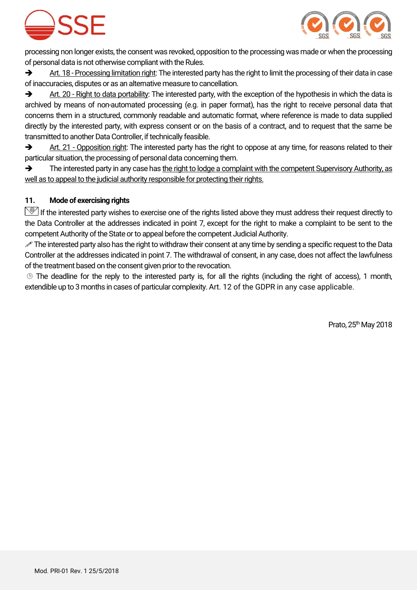



processing non longer exists, the consent was revoked, opposition to the processing was made or when the processing of personal data is not otherwise compliant with the Rules.

 $\rightarrow$  Art. 18 - Processing limitation right: The interested party has the right to limit the processing of their data in case of inaccuracies, disputes or as an alternative measure to cancellation.

Art. 20 - Right to data portability: The interested party, with the exception of the hypothesis in which the data is archived by means of non-automated processing (e.g. in paper format), has the right to receive personal data that concerns them in a structured, commonly readable and automatic format, where reference is made to data supplied directly by the interested party, with express consent or on the basis of a contract, and to request that the same be transmitted to another Data Controller, if technically feasible.

Art. 21 - Opposition right: The interested party has the right to oppose at any time, for reasons related to their particular situation, the processing of personal data concerning them.

 $\rightarrow$  The interested party in any case has the right to lodge a complaint with the competent Supervisory Authority, as well as to appeal to the judicial authority responsible for protecting their rights.

# **11. Mode of exercising rights**

 $\mathbb{S}$  If the interested party wishes to exercise one of the rights listed above they must address their request directly to the Data Controller at the addresses indicated in point 7, except for the right to make a complaint to be sent to the competent Authority of the State or to appeal before the competent Judicial Authority.

The interested party also has the right to withdraw their consent at any time by sending a specific request to the Data Controller at the addresses indicated in point 7. The withdrawal of consent, in any case, does not affect the lawfulness of the treatment based on the consent given prior to the revocation.

 The deadline for the reply to the interested party is, for all the rights (including the right of access), 1 month, extendible up to 3 months in cases of particular complexity. Art. 12 of the GDPR in any case applicable.

Prato,  $25<sup>th</sup>$  May 2018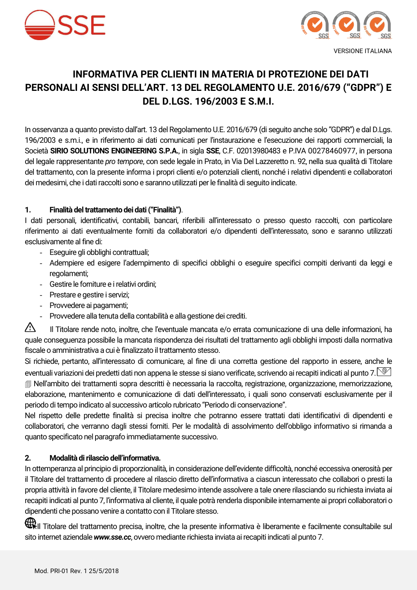



# **INFORMATIVA PER CLIENTI IN MATERIA DI PROTEZIONE DEI DATI PERSONALI AI SENSI DELL'ART. 13 DEL REGOLAMENTO U.E. 2016/679 ("GDPR") E DEL D.LGS. 196/2003 E S.M.I.**

In osservanza a quanto previsto dall'art. 13 del Regolamento U.E. 2016/679 (di seguito anche solo "GDPR") e dal D.Lgs. 196/2003 e s.m.i., e in riferimento ai dati comunicati per l'instaurazione e l'esecuzione dei rapporti commerciali, la Società **SIRIO SOLUTIONS ENGINEERING S.P.A.**, in sigla **SSE**, C.F. 02013980483 e P.IVA 00278460977, in persona del legale rappresentante *pro tempore*, con sede legale in Prato, in Via Del Lazzeretto n. 92, nella sua qualità di Titolare del trattamento, con la presente informa i propri clienti e/o potenziali clienti, nonché i relativi dipendenti e collaboratori dei medesimi, che i dati raccolti sono e saranno utilizzati per le finalità di seguito indicate.

# **1. Finalità del trattamento dei dati ("Finalità")**.

I dati personali, identificativi, contabili, bancari, riferibili all'interessato o presso questo raccolti, con particolare riferimento ai dati eventualmente forniti da collaboratori e/o dipendenti dell'interessato, sono e saranno utilizzati esclusivamente al fine di:

- Eseguire gli obblighi contrattuali;
- Adempiere ed esigere l'adempimento di specifici obblighi o eseguire specifici compiti derivanti da leggi e regolamenti;
- Gestire le forniture e i relativi ordini;
- Prestare e gestire i servizi;
- Provvedere ai pagamenti;
- Provvedere alla tenuta della contabilità e alla gestione dei crediti.

Il Titolare rende noto, inoltre, che l'eventuale mancata e/o errata comunicazione di una delle informazioni, ha quale conseguenza possibile la mancata rispondenza dei risultati del trattamento agli obblighi imposti dalla normativa fiscale o amministrativa a cui è finalizzato il trattamento stesso.

Si richiede, pertanto, all'interessato di comunicare, al fine di una corretta gestione del rapporto in essere, anche le eventuali variazioni dei predetti dati non appena le stesse si siano verificate, scrivendo ai recapiti indicati al punto 7.  $\leq$  Nell'ambito dei trattamenti sopra descritti è necessaria la raccolta, registrazione, organizzazione, memorizzazione, elaborazione, mantenimento e comunicazione di dati dell'interessato, i quali sono conservati esclusivamente per il periodo di tempo indicato al successivo articolo rubricato "Periodo di conservazione".

Nel rispetto delle predette finalità si precisa inoltre che potranno essere trattati dati identificativi di dipendenti e collaboratori, che verranno dagli stessi forniti. Per le modalità di assolvimento dell'obbligo informativo si rimanda a quanto specificato nel paragrafo immediatamente successivo.

# **2. Modalità di rilascio dell'informativa.**

In ottemperanza al principio di proporzionalità, in considerazione dell'evidente difficoltà, nonché eccessiva onerosità per il Titolare del trattamento di procedere al rilascio diretto dell'informativa a ciascun interessato che collabori o presti la propria attività in favore del cliente, il Titolare medesimo intende assolvere a tale onere rilasciando su richiesta inviata ai recapiti indicati al punto 7, l'informativa al cliente, il quale potrà renderla disponibile internamente ai propri collaboratori o dipendenti che possano venire a contatto con il Titolare stesso.

Il Titolare del trattamento precisa, inoltre, che la presente informativa è liberamente e facilmente consultabile sul sito internet aziendale *www.sse.cc*, ovvero mediante richiesta inviata ai recapiti indicati al punto 7.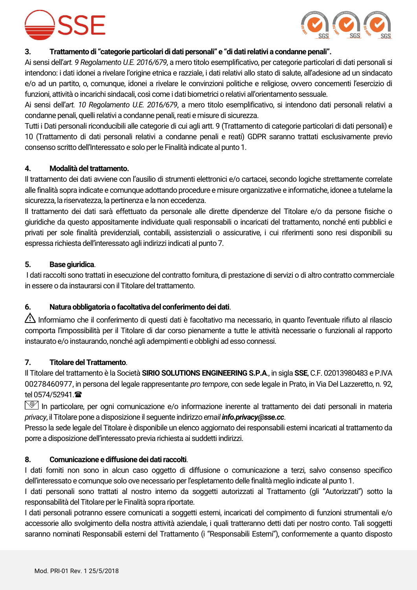



#### **3. Trattamento di "categorie particolari di dati personali" e "di dati relativi a condanne penali".**

Ai sensi dell'*art. 9 Regolamento U.E. 2016/679*, a mero titolo esemplificativo, per categorie particolari di dati personali si intendono: i dati idonei a rivelare l'origine etnica e razziale, i dati relativi allo stato di salute, all'adesione ad un sindacato e/o ad un partito, o, comunque, idonei a rivelare le convinzioni politiche e religiose, ovvero concernenti l'esercizio di funzioni, attività o incarichi sindacali, così come i dati biometrici o relativi all'orientamento sessuale.

Ai sensi dell'*art. 10 Regolamento U.E. 2016/679*, a mero titolo esemplificativo, si intendono dati personali relativi a condanne penali, quelli relativi a condanne penali, reati e misure di sicurezza.

Tutti i Dati personali riconducibili alle categorie di cui agli artt. 9 (Trattamento di categorie particolari di dati personali) e 10 (Trattamento di dati personali relativi a condanne penali e reati) GDPR saranno trattati esclusivamente previo consenso scritto dell'Interessato e solo per le Finalità indicate al punto 1.

#### **4. Modalità del trattamento.**

Il trattamento dei dati avviene con l'ausilio di strumenti elettronici e/o cartacei, secondo logiche strettamente correlate alle finalità sopra indicate e comunque adottando procedure e misure organizzative e informatiche, idonee a tutelarne la sicurezza, la riservatezza, la pertinenza e la non eccedenza.

Il trattamento dei dati sarà effettuato da personale alle dirette dipendenze del Titolare e/o da persone fisiche o giuridiche da questo appositamente individuate quali responsabili o incaricati del trattamento, nonché enti pubblici e privati per sole finalità previdenziali, contabili, assistenziali o assicurative, i cui riferimenti sono resi disponibili su espressa richiesta dell'interessato agli indirizzi indicati al punto 7.

#### **5. Base giuridica**.

I dati raccolti sono trattati in esecuzione del contratto fornitura, di prestazione di servizi o di altro contratto commerciale in essere o da instaurarsi con il Titolare del trattamento.

# **6. Natura obbligatoria o facoltativa del conferimento dei dati**.

Informiamo che il conferimento di questi dati è facoltativo ma necessario, in quanto l'eventuale rifiuto al rilascio comporta l'impossibilità per il Titolare di dar corso pienamente a tutte le attività necessarie o funzionali al rapporto instaurato e/o instaurando, nonché agli adempimenti e obblighi ad esso connessi.

#### **7. Titolare del Trattamento**.

Il Titolare del trattamento è la Società **SIRIO SOLUTIONS ENGINEERING S.P.A**., in sigla **SSE**, C.F. 02013980483 e P.IVA 00278460977, in persona del legale rappresentante *pro tempore*, con sede legale in Prato, in Via Del Lazzeretto, n. 92, tel 0574/52941. <sup>全</sup>

In particolare, per ogni comunicazione e/o informazione inerente al trattamento dei dati personali in materia *privacy*, il Titolare pone a disposizione il seguente indirizzo *email info.privacy@sse.cc*.

Presso la sede legale del Titolare è disponibile un elenco aggiornato dei responsabili esterni incaricati al trattamento da porre a disposizione dell'interessato previa richiesta ai suddetti indirizzi.

#### **8. Comunicazione e diffusione dei dati raccolti**.

I dati forniti non sono in alcun caso oggetto di diffusione o comunicazione a terzi, salvo consenso specifico dell'interessato e comunque solo ove necessario per l'espletamento delle finalità meglio indicate al punto 1.

I dati personali sono trattati al nostro interno da soggetti autorizzati al Trattamento (gli "Autorizzati") sotto la responsabilità del Titolare per le Finalità sopra riportate.

I dati personali potranno essere comunicati a soggetti esterni, incaricati del compimento di funzioni strumentali e/o accessorie allo svolgimento della nostra attività aziendale, i quali tratteranno detti dati per nostro conto. Tali soggetti saranno nominati Responsabili esterni del Trattamento (i "Responsabili Esterni"), conformemente a quanto disposto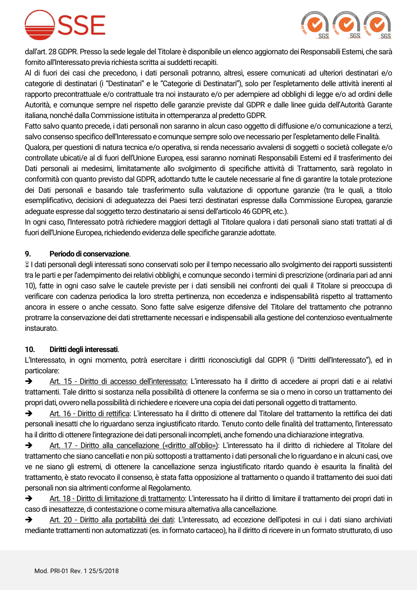



dall'art. 28 GDPR. Presso la sede legale del Titolare è disponibile un elenco aggiornato dei Responsabili Esterni, che sarà fornito all'Interessato previa richiesta scritta ai suddetti recapiti.

Al di fuori dei casi che precedono, i dati personali potranno, altresì, essere comunicati ad ulteriori destinatari e/o categorie di destinatari (i "Destinatari" e le "Categorie di Destinatari"), solo per l'espletamento delle attività inerenti al rapporto precontrattuale e/o contrattuale tra noi instaurato e/o per adempiere ad obblighi di legge e/o ad ordini delle Autorità, e comunque sempre nel rispetto delle garanzie previste dal GDPR e dalle linee guida dell'Autorità Garante italiana, nonché dalla Commissione istituita in ottemperanza al predetto GDPR.

Fatto salvo quanto precede, i dati personali non saranno in alcun caso oggetto di diffusione e/o comunicazione a terzi, salvo consenso specifico dell'Interessato e comunque sempre solo ove necessario per l'espletamento delle Finalità.

Qualora, per questioni di natura tecnica e/o operativa, si renda necessario avvalersi di soggetti o società collegate e/o controllate ubicati/e al di fuori dell'Unione Europea, essi saranno nominati Responsabili Esterni ed il trasferimento dei Dati personali ai medesimi, limitatamente allo svolgimento di specifiche attività di Trattamento, sarà regolato in conformità con quanto previsto dal GDPR, adottando tutte le cautele necessarie al fine di garantire la totale protezione dei Dati personali e basando tale trasferimento sulla valutazione di opportune garanzie (tra le quali, a titolo esemplificativo, decisioni di adeguatezza dei Paesi terzi destinatari espresse dalla Commissione Europea, garanzie adeguate espresse dal soggetto terzo destinatario ai sensi dell'articolo 46 GDPR, etc.).

In ogni caso, l'Interessato potrà richiedere maggiori dettagli al Titolare qualora i dati personali siano stati trattati al di fuori dell'Unione Europea, richiedendo evidenza delle specifiche garanzie adottate.

# **9. Periodo di conservazione**.

 I dati personali degli interessati sono conservati solo per il tempo necessario allo svolgimento dei rapporti sussistenti tra le parti e per l'adempimento dei relativi obblighi, e comunque secondo i termini di prescrizione (ordinaria pari ad anni 10), fatte in ogni caso salve le cautele previste per i dati sensibili nei confronti dei quali il Titolare si preoccupa di verificare con cadenza periodica la loro stretta pertinenza, non eccedenza e indispensabilità rispetto al trattamento ancora in essere o anche cessato. Sono fatte salve esigenze difensive del Titolare del trattamento che potranno protrarre la conservazione dei dati strettamente necessari e indispensabili alla gestione del contenzioso eventualmente instaurato.

# **10. Diritti degli interessati**.

L'Interessato, in ogni momento, potrà esercitare i diritti riconosciutigli dal GDPR (i "Diritti dell'Interessato"), ed in particolare:

 Art. 15 - Diritto di accesso dell'interessato: L'interessato ha il diritto di accedere ai propri dati e ai relativi trattamenti. Tale diritto si sostanza nella possibilità di ottenere la conferma se sia o meno in corso un trattamento dei propri dati, ovvero nella possibilità di richiedere e ricevere una copia dei dati personali oggetto di trattamento.

 Art. 16 - Diritto di rettifica: L'interessato ha il diritto di ottenere dal Titolare del trattamento la rettifica dei dati personali inesatti che lo riguardano senza ingiustificato ritardo. Tenuto conto delle finalità del trattamento, l'interessato ha il diritto di ottenere l'integrazione dei dati personali incompleti, anche fornendo una dichiarazione integrativa.

 Art. 17 - Diritto alla cancellazione («diritto all'oblio»): L'interessato ha il diritto di richiedere al Titolare del trattamento che siano cancellati e non più sottoposti a trattamento i dati personali che lo riguardano e in alcuni casi, ove ve ne siano gli estremi, di ottenere la cancellazione senza ingiustificato ritardo quando è esaurita la finalità del trattamento, è stato revocato il consenso, è stata fatta opposizione al trattamento o quando il trattamento dei suoi dati personali non sia altrimenti conforme al Regolamento.

 Art. 18 - Diritto di limitazione di trattamento: L'interessato ha il diritto di limitare il trattamento dei propri dati in caso di inesattezze, di contestazione o come misura alternativa alla cancellazione.

 Art. 20 - Diritto alla portabilità dei dati: L'interessato, ad eccezione dell'ipotesi in cui i dati siano archiviati mediante trattamenti non automatizzati (es. in formato cartaceo), ha il diritto di ricevere in un formato strutturato, di uso